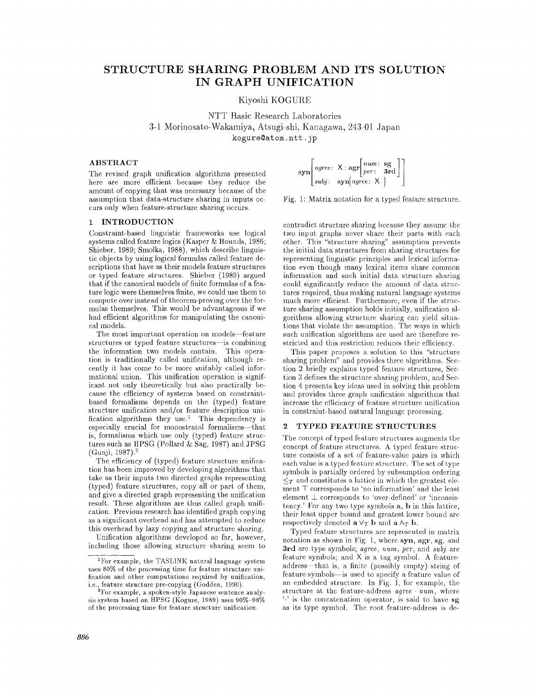# **STRUCTURE SHARING PROBLEM AND ITS SOLUTION IN GRAPH UNIFICATION**

Kiyoshi KOGURE

NTT Basic Research Laboratories 3-1 Morinosato-Wakarniya, Atsugi-shi, Kanagawa., 243-01 Japan kogure@atom.ntt.jp

## **ABSTRACT**

The revised graph unification algorithms presented here are more efficient because they reduce the amount of copying that was necessary because of the assumption that data-structure sharing in inputs occurs only when feature-structure sharing occurs.

### **1 INTRODUCTION**

Constraint-based linguistic frameworks use logical systems called feature logics (Kasper & Rounds, 1986; Shieber, 1989; Smolka, 1988), which describe linguistic objects by using logical formulas called feature descriptions that have as their models feature structures or typed feature structures. Shieber (1989) argued that if the canonical models of finite formulas of a feature logic were themselves finite, we could use them to compute over instead of theorem-proving over the formulas themselves. This would be advantageous if we had efficient algorithms for manipulating the canonical models.

The most important operation on models-feature structures or typed feature structures- is combining the information two models contain. This operation is traditionally called unification, although recently it has come to be more suitably called informational union. This unification operation is significant not only theoretically but also practically because the efficiency of systems based on constraintbased formalisms depends on the (typed) feature structure unification and/or feature description unification algorithms they use.<sup>1</sup> This dependency is especially crucial for monostratal formalisms--that is, formalisms which use only (typed) feature structures such as HPSG (Pollard & Sag, 1987) and JPSG (Gunji, 1987)?

The efficiency of (typed) feature structure unification has been improved by developing algorithms that take as their inputs two directed graphs representing (typed) feature structures, copy all or part of them, and give a directed graph representing the unification result. These algorithms are thus called graph unification. Previous researeh has identified graph copying as a significant overhead and has attempted to reduce this overhead by lazy copying and structure sharing.

Unification algorithms developed so far, however, including those allowing structure sharing seem to

$$
\text{syn}\left[\begin{matrix} \text{agree:} \ \mathsf{X}: \text{ngr}\left[\begin{matrix} num: \ \text{sg} \\ per: \end{matrix} \ \text{3rd} \end{matrix} \right] \right] \\ \text{subj:} \ \ \text{syn}\left[\begin{matrix} age: \ \mathsf{X} \end{matrix} \right]
$$

Fig. 1: Matrix notation for a typed feature structure.

contradict structure sharing because they assume the two input graphs never share their parts with each other. This "structure sharing" assumption prevents the initial data structures from sharing structures for representing linguistic principles and lexical information even though many lexical items share common information and such initial data structure sharing could significantly reduce the amount of data structures required, thus making natural language systems much more efficient. Furthermore, even if the structure sharing assumption holds initially, unification algorithms allowing structure sharing can yield situations that violate the assumption. The ways in which such unification algorithms are used are therefore restricted and this restriction reduces their efficiency.

This paper proposes a solution to this "structure sharing problem" and provides three algorithms. Section 2 briefly explains typed feature structures, Section 3 defines the structure sharing problem, and Section 4 presents key ideas used in solving this problem and provides three graph unification algorithms that increase the efficiency of feature structure unification in constraint-based natural language processing.

#### 2 TYPED FEATURE **STRUCTURES**

The concept of typed feature structures augments the concept of feature structures. A typed feature structure consists of a set of feature-value pairs in which each value is a typed feature structure. The set of type symbols is partially ordered by subsumption ordering  $\leq_T$  and constitutes a lattice in which the greatest element T corresponds to 'no information' and the least element  $\perp$  corresponds to 'over-defined' or 'inconsistency.' For any two type symbols a, b in this lattice, their least npper bound and greatest lower bound are respectively denoted  $\mathbf{a} \vee_T \mathbf{b}$  and  $\mathbf{a} \wedge_T \mathbf{b}$ .

Typed feature structures are represented in matrix notation as shown in Fig. 1, where syn, agr, sg, and 3rd are type symbols; *agree, hum, per,* and *subj* are feature symbols; and X is a tag symbol. A featureaddress—that is, a finite (possibly empty) string of feature symbols- is used to specify a feature value of an embedded structure. In Fig. 1, for example, the structure at the feature-address *agree . uum,* where  $\cdot$  is the concatenation operator, is said to have sg. as its type symbol. The root feature-address is de-

<sup>1</sup>For example, the TASL1NK natural language system uses 80% of the processing time for feature structure unification and other computations required by unification, i.e., feature structure pre-copying (Godden, 1990).

<sup>&</sup>lt;sup>2</sup>For example, a spoken-style Japanese sentence analysis system based on HPSG (Kogure, 1989) uses 90%-98% of the processing time for feature structure unification.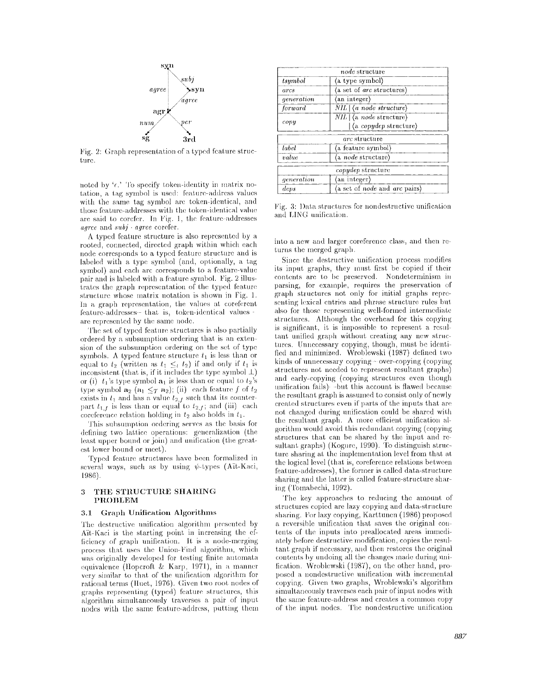

Fig. 2: Graph representation of a typed feature structure.

noted by ' $\epsilon$ .' To specify token-identity in matrix notation, a tag symbol is used: feature-address values with the same tag symbol arc token-identical, and those featm'e-addresses with the token-identical value are said to corefer. In Fig. 1, the feature-addresses *agree* and *subj • agree* corefer.

A typed feature, structure is also represented by a rooted, connected, directed graph within which each node corresponds to a typed feature structure and is labeled with a type symbol (and, optionally, a tag symbol) and each arc corresponds to a feature-value pair and is labeled with a feature symbol. Fig. 2 illustrates the graph representation of the typed feature structure whose matrix notation is shown in Fig. 1. In a graph representation, the values at coreferent feature-addresses-that is, token-identical values are represented by the same node.

The set of typed feature structures is also partially ordered by a subsumption ordering that is an exten- sion of the subsumption ordering on the set of type symbols. A typed feature structure  $t_1$  is less than or equal to  $t_2$  (written as  $t_1 \leq_t t_2$ ) if and only if  $t_1$  is inconsistent (that is, if it includes the type symbol  $\perp$ ) or (i)  $t_1$ 's type symbol  $a_1$  is less than or equal to  $t_2$ 's type symbol  $\mathbf{a}_2$  ( $\mathbf{a}_1 \leq_T \mathbf{a}_2$ ); (ii) each feature f of  $t_2$ exists in  $l_1$  and has a value  $l_{2,t}$  such that its counterpart  $t_{1,j}$  is less than or equal to  $t_{2,j}$ ; and (iii) each coreference relation holding in  $t_2$  also holds in  $t_1$ .

This subsumption ordering serves as the basis for defining two lattice operations: generalization (the least upper bound or join) and unitlcation (the greatest lower bound or meet).

Typed feature structures have been formalized in several ways, such as by using  $\psi$ -types (Ait-Kaci, 1986).

### **3 THE** STRUCTURE SHARING PROBLEM

#### 3.1 Graph Unification Algorithms

The destructive unification algorithm presented by Ait-Kaci is the starting point in increasing the efliciency of graph unification. It is a node-merging process that uses the Union-Find algorithm, which was originally developed for testing finite automata equivalence (llopcroft & Karp, 1971), in a manner very similar to that of the unification algorithm for rational terms (Huet, 1976). Given two root nodes of graphs representing (typed) feature structures, this algorithm simultaneously traverses a pair of input nodes with the same feature-address, putting them

|            | node structure                                                                      |
|------------|-------------------------------------------------------------------------------------|
| tsymbol    | (a type symbol)                                                                     |
| arcs       | $\langle$ a set of <i>arc</i> structures)                                           |
| generation | (an integer)                                                                        |
| forward    | $NIL \, \vert \, \langle a \rangle$ node structure)                                 |
| copy       | $NIL$ $\langle$ a <i>node</i> structure $\rangle$<br>  (a <i>copydep</i> structure) |
|            | arc structure                                                                       |
| label      | (a feature symbol)                                                                  |
| value      | $\langle a \text{ node structure} \rangle$                                          |
|            | <i>copydep</i> structure                                                            |
| generation | (an integer)                                                                        |
| $_{des}$   | (a set of <i>node</i> and <i>arc</i> pairs)                                         |

Fig. 3: I)ata structures for nondestructive unification and LING unification.

into a new and larger coreference class, and then returns the merged graph.

Since the destructive unification process modifies its input graphs, they must first be copied if their contents are to bc preserved. Nondeterminism in parsing, for example, requires the preservation of graph structures not only for initial graphs representing lexical entries and phrase structure rules but also for those representing well-formed intermediate structures. Although the overhead for this copying is significant, it is impossible to represent a resultant unified graph without creating any new structures. Unnecessary copying, though, must be identified and minimized. Wroblewski (1987) delined two kinds of unnecessary copying- over-copying (copying structures not needed to represent resultant graphs) and early-copying (copying structures even though unification fails) -but this account is flawed because the resultant graph is assumed to consist only of newly created structures even if parts of the inputs that are not changed during unification could be shared with the resultant graph. A more efficient unification algorithm would avoid this redundant copying (copying structures that can be shared by the input and resultant graphs) (Kogure, 1990). To distinguish structure sharing at the implementation level from that at the logical level (that is, coreference relations between feature-addresses), the former is called data-structure sharing and the latter is called feature-structure sharing (Tomabechi, 1992).

The key approaches to reducing the amount of structures copied are lazy copying **and** data-structure sharing. For lazy copying, Karttunen (1986) proposed a reversible unification that saves the original contents of the. inputs into prealloeated areas immediately before destructive modification, copies the resultant graph if necessary, and then restores the original contents by undoing all the changes made during unification. Wroblewski (1987), on the other hand, proposed a nondestructive unification with incremental copying. Given two graphs, Wroblewski's algorithm simultaneously traverses each pair of input nodes with the same feature-address and creates a common copy of the input nodes. The nondestructive unification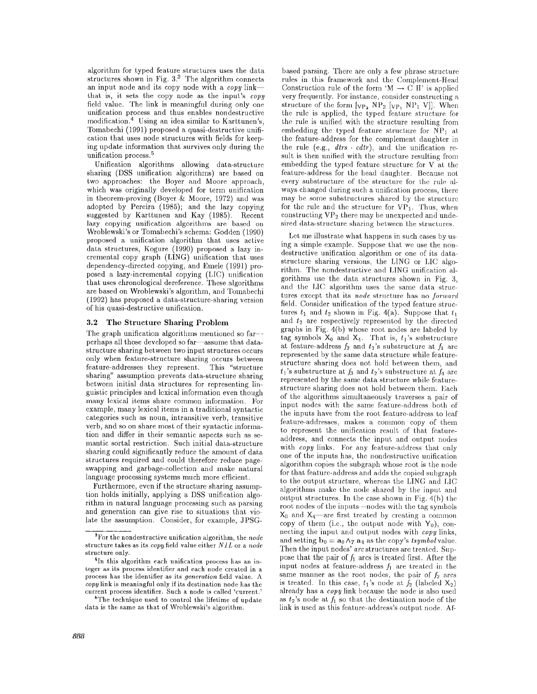algorithm for typed feature structures uses the data structures shown in Fig.  $3.5$  The algorithm connects an input node and its copy node with a *copy* link that is, it sets the copy node as the input's *copy*  field value. The link is meaningful during only one unification process and thus enables nondestructive modification.<sup>4</sup> Using an idea similar to Karttunen's, Tomabechi (1991) proposed a quasi-destructive unification that uses node structures with fields for keeping update information that survives only during the unification process.<sup>5</sup>

Unification algorithms allowing data-structure sharing (DSS unification algorithms) are based on two approaches: the Boyer and Moore approach, which was originally developed for term unification in theorem-proving (Boyer & Moore, 1972) and was adopted by Pereira (1985); and the lazy copying suggested by Karttunen and Kay (1985). Recent lazy copying unification algorithms are based on Wroblewski's or Tomabeehi's schema: Godden (1990) proposed a unification algorithm that uses active data structures, Kogure (1990) proposed a lazy incremental copy graph (LING) unification that uses dependency-directed copying, and Emele (1991) proposed a lazy-incremental copying (LIC) unification that uses chronological dereference. These algorithms are based on Wroblewski's algorithm, and Tomabechi (1992) has proposed a data-structure-sharing version of his quasi-destructive unification.

#### **3.2 The Structure Sharing Problem**

The graph unification algorithms mentioned so far- perhaps all those developed so far-assume that datastructure sharing between two input structures occurs only when feature-structure sharing occurs between feature-addresses they represent. This "structure sharing" assumption prevents data-structure sharing between initial data structures for representing linguistic principles and lexical information even though many lexical items share common information. For example, many lexical items in a traditional syntactic categories such as noun, intransitive verb, transitive verb, and so on share most of their syntactic information and differ in their semantic aspects such as semantic sortal restriction. Such initial data-structure sharing could significantly reduce the amount of data structures required and could therefore reduce pageswapping and garbage-collection and make natural language processing systems much more efficient.

Furthermore, even if the structure sharing assumption holds initially, applying a DSS unification algorithm in natural language processing such as parsing and generation can give rise to situations that violate the assumption. Consider, for example, JPSG-

based parsing. There are only a few phrase structure rules in this framework and the Complement-Head Construction rule of the form 'M  $\rightarrow$  C It' is applied very frequently. For instance, consider constructing a structure of the form  $[\nabla_{P_2} NP_2] [\nabla_{P_1} NP_1] V].$  When the rule is applied, the typed feature structure for the rule is unified with the structure resulting from embedding the typed feature structure for  $\overline{NP}_1$  at the feature-address for the complement daughter in the rule (e.g.,  $d$ *trs*  $\cdot$  *cdtr*), and the unification result is then unified with the structure resulting from embedding the typed feature structure for V at the feature-address for the head daughter. Because not every substructure of the structure for the rule always changed during such a unification process, there may be some substructures shared by the structure for the rule and the structure for  $VP_1$ . Thus, when constructing  $VP<sub>2</sub>$  there may be unexpected and undesired data-structure sharing between the structures.

Let me illustrate what happens in such eases by using a simple example. Suppose that we use the nondestructive unification algorithm or one of its datastructure sharing versions, the LING or I,IC algorithm. The nondestructive and LING unification algorithms use the data structures shown in Fig. 3, and the LIC algorithm uses the same data structures except that its *node* structure has no *forward* field. Consider unification of the typed feature structures  $t_1$  and  $t_2$  shown in Fig. 4(a). Suppose that  $t_1$ and  $t_2$  are respectively represented by the directed graphs in Fig. 4(b) whose root nodes are labeled by tag symbols  $X_0$  and  $X_4$ . That is,  $t_1$ 's substructure at feature-address  $f_2$  and  $t_2$ 's substructure at  $f_1$  are represented by the same data structure while featurestructure sharing does not hold between them, and  $t_1$ 's substructure at  $f_3$  and  $t_2$ 's substructure at  $f_4$  are represented by the same data structure while featurestructure sharing does not hold between them. Each of the algorithms simultaneously traverses a pair of input nodes with the same feature-address both of the inputs have from the root feature-address to leaf feature-addresses, makes a common copy of them to represent the unification result of that featureaddress, and connects the input and ontput nodes with *copy* links. For any feature-address that only one of the inputs has, the nondestructive unification algorithm copies the subgraph whose root is the node for that feature-address and adds the copied subgraph to the output structure, whereas the LING and LIC algorithms make the node shared by the input and output structures. In the case shown in Fig.  $4(b)$  the root nodes of the inputs-nodes with the tag symbols  $X_0$  and  $X_4$ —are first treated by creating a common copy of them (i.e., the output node with  $Y_0$ ), connecting the input and output nodes with *copy* links, and setting  $\mathbf{b}_0 = \mathbf{a}_0 \wedge_T \mathbf{a}_4$  as the copy's *tsymbol* value. Then the input nodes' arc structures are treated. Suppose that the pair of  $f_1$  arcs is treated first. After the input nodes at feature-address  $f_1$  are treated in the same manner as the root nodes, the pair of  $f_2$  arcs is treated. In this case,  $t_1$ 's node at  $f_2$  (labeled  $X_2$ ) already has a *copy* link because the node is also used as  $t_2$ 's node at  $f_1$  so that the destination node of the link is used as this feature-address's output node. Af-

aFor the nondestructive unification algorithm, the *node*  structure takes as its *copy* field value either *NJ L* or a *node*  structure only.

<sup>4</sup>In this algorithm each unification process has an integer as its process identifier and each node created in a process has the identifier as its *generation* field value. A *copy* link is meaningful only if its destination node has the current process identifier. Such a node is called 'current.

 ${}^b$ The technique used to control the lifetime of update data is the same as that of Wroblewski's algorithm.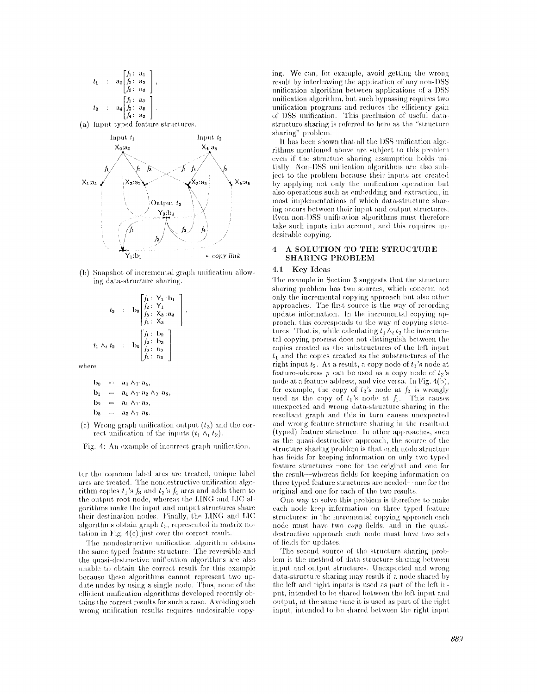$$
t_1 : \mathbf{a}_0 \begin{bmatrix} f_1: & \mathbf{a}_1 \\ f_2: & \mathbf{a}_2 \\ f_3: & \mathbf{a}_3 \end{bmatrix},
$$
\n
$$
t_2 : \mathbf{a}_4 \begin{bmatrix} f_1: & \mathbf{a}_2 \\ f_2: & \mathbf{a}_5 \\ f_4: & \mathbf{a}_3 \end{bmatrix}.
$$

(a) Input typed feature structures.



(b) Snapshot of incremental graph unification allowing data-structure sharing,

$$
t_3 \quad : \quad \mathbf{b}_0 \begin{bmatrix} f_1: Y_1 : \mathbf{b}_1 \\ f_2: Y_1 \\ f_3: X_3 : \mathbf{a}_3 \\ f_4: X_3 \end{bmatrix},
$$

$$
t_1 \wedge_t t_2 \quad : \quad \mathbf{b}_0 \begin{bmatrix} f_1 : \mathbf{b}_2 \\ f_2 : \mathbf{b}_3 \\ f_3 : \mathbf{a}_3 \\ f_4 : \mathbf{a}_3 \end{bmatrix}.
$$

where,

$$
b_0 = a_0 \Delta_T a_4,
$$
  
\n
$$
b_1 = a_1 \Delta_T a_2 \Delta_T a_5,
$$
  
\n
$$
b_2 = a_1 \Delta_T a_2,
$$
  
\n
$$
b_3 = a_2 \Delta_T a_5.
$$

(c) Wrong graph unification output  $(t_3)$  and the cor-rect unification of the inputs  $(t_1 \wedge_t t_2)$ .

Fig. 4: An example of incorrect graph unification.

ter the common label arcs are treated, unique label arcs are treated. The nondestructive, unitication **algo**rithm copies  $t_1$ 's  $f_3$  and  $t_2$ 's  $f_4$  arcs and adds them to the output root node, whereas the LING and LIC algorithms make the input and output structures share their destination nodes. Finally, the LING and LIC algorithms obtain graph  $t_3$ , represented in matrix notation in Fig.  $4(c)$  just over the correct result.

The nondestructive unification algorithm obtains the same typed feature structure. The reversible and the quasi-destructive unification algorithms are also unable to obtain the correct result for this example because these algorithms cannot represent two update nodes by using a single node. Thus, none of the cflicient unification algorithms developed recently obtains the correct results for such a case. Avoiding such wrong unification results requires undesirable copying. We can, for example, avoid getting the wrong result by interleaving the application of any non-DSS unification algorithm between applications of a DSS unitication algorithm, but such bypassing requires two unification programs and reduces the efficiency gain of DSS unification. This preclusion of useful datastructure sharing is referred to here as the "structure sharing" problem.

It has been shown that all the DSS unification algorithms mentioned above are subject to this problem even if the structure sharing assumption holds initially. Non-DSS unification algorithms are also subject to the problem because their inputs are created by applying not only the unification operation but also operations such as embedding and extraction, in most implementations of which data-structure sharing occurs between their input and output structures. Even non-DSS unification algorithms must therefore take such inputs into account, and this requires undesirable copying.

#### **4 A SOLUTION TO THE STRUCTURE SHARING PROBLEM**

### **4.1** Key Ideas

The example in Section 3 suggests that the structure sharing problem has two sources, which concern not only the incremental copying approach but also other approaches. The first source is the way of recording update information. In the incremental copying approach, this corresponds to the way of copying structures. That is, while calculating  $t_1 \Lambda_t t_2$  the incremental copying process does not distinguish between the copies created as the substructures of the left input  $t_1$  and the copies created as the substructures of the right input  $t_2$ . As a result, a copy node of  $t_1$ 's node at feature-address p can be used as a copy node of  $t<sub>2</sub>$ 's node at a feature-address, and vice versa. In Fig.  $4(b)$ , for example, the copy of  $t_2$ 's node at  $f_2$  is wrongly used as the copy of  $t_1$ 's node at  $f_1$ . This causes unexpected and wrong data-structure sharing in the resultant graph and this in turn causes unexpected and wrong feature-structure sharing in the resultant (typed) feature structure. In other approaches, such as the quasi-destructive approach, the source of the structure sharing problem is that each node structure has fields for keeping information on only two typed feature structures -one for the original and one for the result--whereas fields for keeping information on three typed feature structures are needed  $\sim$  one for the original and one for each of the two results,

One way to solve this problem is therefore to make each node keep information on three typed feature structures: in the incremental copying approach each node must have two *copy* fields, and in the quasidestructive approach each node must have two sets of fields for updates.

'Fhe second source of the structure sharing prob lem is the method of data-structure sharing between input and output structures. Unexpected and wrong data-structure sharing may result if a node shared by the left and right inputs is used as part of the left input, intended to be shared between the left input and output, at the same time it is used as part of the right input, intended to be shared between the right input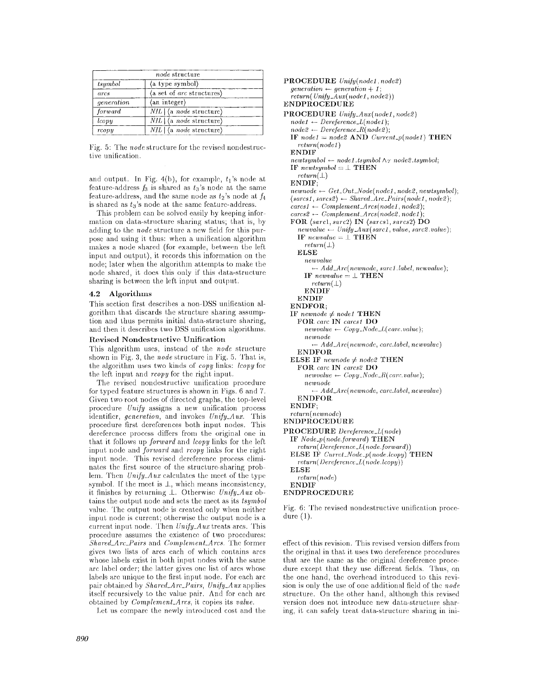| node structure |                                                    |
|----------------|----------------------------------------------------|
| tsumbol        | $\langle$ a type symbol $\rangle$                  |
| arcs           | $\langle$ a set of <i>arc</i> structures $\rangle$ |
| generation     | (an integer)                                       |
| forward        | $NIL$ $\langle$ a <i>node</i> structure $\rangle$  |
| lcopy          | $NIL$ $\langle$ a <i>node</i> structure)           |
| rcopy          | $NIL$   (a <i>node</i> structure)                  |

Fig. 5: The *node* structure for the revised nondestructive unification.

and output. In Fig. 4(b), for example,  $t_1$ 's node at feature-address  $f_3$  is shared as  $t_3$ 's node at the same feature-address, and the same node as  $t_2$ 's node at  $f_4$ is shared as  $t_3$ 's node at the same feature-address.

This problem can be solved easily by keeping information on data-structure sharing status; that is, by adding to the *node* structure a new field for this purpose and using it thus: when a unification algorithm makes a node shared (for example, between the left input and output), it records this information on the node; later when the algorithm attempts to make the node shared, it does this only if this data-structure sharing is between the left input and output.

# **4.2 Algorithms**

This section first describes a non-DSS unification algorithm that discards the structure sharing assumption and thus permits initial data-structure sharing, and then it describes two DSS unification algorithms.

### **Revised Nondestructive Unification**

This algorithm uses, instead of the *node* structure shown in Fig. 3, the *node* structure in Fig. 5. That is, the algorithm uses two kinds of *copy* links: *Icopy* for the left input and *rcopy* for the right input.

The revised nondestructive unification procedure for typed feature structures is shown in Figs. 6 and 7. Given two root nodes of directed graphs, the top-level procedure *Unify* assigns a new unification process identifier, *generation,* and invokes *Unify\_Aux.* This procedure first dereferences both input nodes. This dereference process differs from the original one in that it follows up *fortvard* and *lcopy* links for the left input node and *forward and rcopy* links for the right input node. This revised dereference process eliminates the first source of the structure-sharing problem. Then  $Unify\_Aux$  calculates the meet of the type symbol. If the meet is  $\perp$ , which means inconsistency, it finishes by returning \_L Otherwise *Unify\_Auz ob*tains the output node and sets the meet as its *tsymbol* value. The output node is created only when neither input node is current; otherwise the output node is a current input node. Then  $Unify\_Aux$  treats arcs. This procedure assumes the existence of two procedures: *Share&Arc\_Pair,s* and *Complement\_Arcs.* The former gives two lists of arcs each of which contains ares whose labels exist in both input nodes with the same are label order; the latter gives one list of arcs whose labels are unique to the first input node. For each arc pair obtained by *Shared\_A re\_Pairs, Unify\_A ux* applies itself recursively to the value pair. And for each arc obtained by *Complement\_Ares,* it copies its *value.* 

Let us compare the newly introduced cost and the

PROCEDURE *Unify(nodcl, node2)*   $generation \leftarrow generation + 1$ ;  $return(Unify\_Aux(node1, node2))$ ENDPROCEDURE PROCEDURE *Unify\_Aux(node1,node2)*  $node1 \leftarrow Derference\_L(node1);$  $node2 \leftarrow Derference_R(node2);$ IF  $node1 = node2$  AND  $Current_p(node1)$  THEN *return(node l)*  ENDIF  $newt symbol \leftarrow node1.tsymbol \wedge_T node2.tsymbol;$  $IF$   $newtsumbol = \perp$  THEN *return(±)*  ENDIF;  $newnode \leftarrow Get\_Out\_Node(node1, node2, newtsymbol);$  $\langle \textit{sarcs1}, \textit{sarcs2} \rangle$   $\leftarrow$  *Shared\_Arc\_Pairs(node1,node2);*  $\textit{carcs1} \leftarrow \textit{Complement\_Arcs}(\textit{node1}, \textit{node2});$ *cares2 \*- Complement\_Arcs(node2, node1);*  FOR *(sarel,sarc2)* IN *(saresl,sarcs2}* DO  $newvalue \leftarrow Unify\_Aux(sarc1, value, sac2, value);$ IF  $\mathit{newvalue} = \bot$  THEN *return(±)*  **ELSE**   $newvalue$ *\*-- Add\_Arc(newnode, sarcl.label, newvalue);*  IF  $\mathit{newvalue} = \bot \text{ THEN}$  $return(\perp)$ **ENDIF** ENDIF ENDFOR; IF  $newnode \neq node1$  THEN FOR *care* IN *carcst* DO  $newvalue \leftarrow Copy\_Node\_L(carc.value);$ *newnode ~- Add\_Arc( ncwnodc, care.label, newvaluc)*  ENDFOR ELSE IF  $\mathit{newnode} \neq \mathit{node2}$  THEN FOR *carc* IN *carcs2* DO  $newvalue \leftarrow Copy\_Node\_R(carc.value);$ *newnode Add\_Arc( newnode, care.label, newvalue)*  ENDFOR ENDIF; *rcturn(ncwnodc)*  **ENDPROCEDURE** PROCEDURE *Dereference\_L( node)*  IF *Node\_p(node.forward)* THEN *return(1)ereference\_L( node.forward) )*  **ELSE IF**  $Current\_Node\_p(node.loopy)$  **THEN** *return( Dereferenec\_L( node.lcopy) )*  ELSE *return(node)*  ENDIF ENDPROCEDURE

Fig. 6: The revised nondestructive unification procedure (1).

effect of this revision. This revised version differs from the original in that it uses two dereference procedures that are the same as the original dereference procedure except that they use different fields. Thus, on the one hand, the overhead introduced to this revision is only the use of one additional field of the *node*  structure. On the other hand, although this revised version does not introduce new data-structure sharing, it can safely' treat data-structure sharing in ini-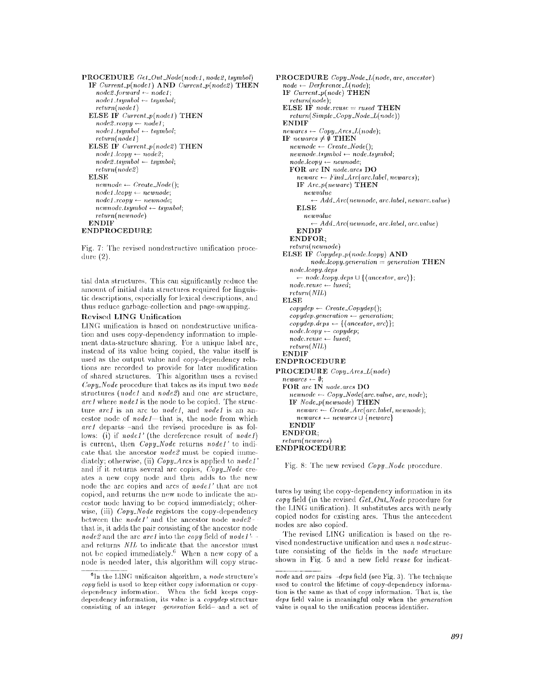```
PROCEDURE Get\_Out\_Node(node1, node2, tsymbol)IF Current_p(nodel) AND Current_p(node2) THEN 
    nodc2.forward +-- nodel; 
    nodel.tsyrnbol ~- tsymbol; 
    return(node 1)ELSE IF Current_p(nodel) THEN 
    node2.rcopy ~ nodeI ; 
    node l, tsymbol ~- tsymbol; 
    return( node l ) 
  ELSE IF Current_p(node2) THEN 
    node1.lcopy \leftarrow node2;node2.tsymbol ~-- tsymbol; 
    return(node2) 
  ELSE 
    newnode \leftarrow Create\_Node();node1-loopy \leftarrow newnode;nodel.rcopy ~ newnnde; 
    newnode.tsymbol ~- tsgmbol; 
    return( newnode ) 
  ENDIF 
ENDPROCEDUR.E
```
Fig. 7: The revised nondestructive unification procedure (2),

tial data structures. This can significantly reduce the amount of initial data structures required for linguistic descriptions, especially for lexical descriptions, and thus reduce garbage-collection and page-swapping.

# Revised LING Unification

LING unification is based on nondestructive unification and uses copy-dependency information to implement data-structure sharing. For a unique label arc, instead of its value being copied, the value itself is used as the output value and copy-dependency relations are recorded to provide for later modification of shared structures. This algorithm uses a revised *Copy~Node* procedure that takes as its input two *node*  structures *(nodel* and *node2) and* one *arc* structure, *arc1* where *node1* is the node to be copied. The structure *arc1* is an arc to *node1*, and *node1* is an ancestor node of *node1*—that is, the node from which *arc1* departs -and the revised procedure is as follows: (i) if *nodel'* (the dereference result of *node.f*) is current, then *Copy\_Node* returns *nodel'* to indicate that the ancestor *node2* must be copied immediately; otherwise, (ii) *Copy\_Arcs* is applied to *node1* and if it returns several arc copies, *Copy\_Node* creates a new copy node and then adds to the new node the arc copies and arcs of *node1'* that are not copied, and returns the new node to indicate the ancestor node having to be copied immediately; otherwise, (iii) *Copy\_Node* registors the copy-dependency between the *nodel'* and the ancestor node *node2*  that is, it adds the pair consisting of the ancestor node *node2* and the arc *arc1* into the *copy* field of *node1*<sup>2</sup> and returns *Nil,* to indicate that the ancestor must not be copied immediately.<sup>6</sup> When a new copy of a node is needed later, this algorithm will copy struc-

**PROCEDURE** *Copy\_Node\_L(node, arc, ancestor)*   $node \leftarrow \text{Deference\_L(node)}$ ; **IF** *Current\_p(node)* THEN *return( node);*   $\textbf{ELSE IF}$  *node.reuse* = *rused*  $\textbf{THEN}$ *return( Simple\_ Copy\_Node\_L( nodc ) )*  **ENDIF**   $newars \leftarrow Copy\_Arcs\_L(node);$ *IF newarcs*  $\neq \emptyset$ **THEN**  $newnode \leftarrow Create\_Node();$ *uewnode.tsymbol ~ node.tsymbol; node.lcopy ~-- newnode;*  FOIl. arc IN *nodc.arcs* DO *newarc \*-- Find\_Are( arc.labcl, newarcs);*  **IF** *Arc\_p(newarc)* THEN *newvalne ~- A dd\_A rc( newnodc, arc.label, n eware, vahte )*  **ELSE**   $newvalue$  $\rightarrow$  *Add\_Arc(newnode, arc.label, arc.value)* **ENDIF ENDFOR;**  *return( newnode)*  **ELSE IF** *Copydep\_p(node.leopy)* **AND**  *node.lcopy.generation = generation* THEN *n ode. Icopy. deps*   $- node.lcopy.deps \cup \{\langle ancestor, arc\rangle\};$  $node, reuse \leftarrow lused,$ *return(NIL)*  **ELSE**   $copydep \leftarrow Create\_Copydep();$ *copydcp.gcneration ~ gcneration;*   $\{ \textit{copydep.} \leftarrow \{\textit{(ancestor, arc)}\};$  $nodeloopy \leftarrow copydep;$  $node, reuse \leftarrow used;$ *return(NIL)*  **ENDIF**  ENDPROCEDURE **PROCEDURE** *Copy\_Ares\_L(node)*   $newarcs \leftarrow \emptyset;$ **FOR** *arc* IN *node.arcs* DO  $newnode \leftarrow Copy\_Node(arc.value, arc, node);$ IF *Nodc\_p(newnode)* **THEN**   $newarc \leftarrow Create\_Arc(arc.label,newnode);$  $newares \leftarrow new arcs \cup \{newarc\}$ **ENDIF ENDFOR;**   $return(new arcs)$ **ENDPROCEDUR,E** 

Fig. 8: The new revised *Copy\_Node* procedure.

tures by using the copy-dependency information in its *copy* field (in the revised *Get\_Out\_Node* procedure for the LING unification). It substitutes arcs with newly copied nodes for existing arcs. Thus the antecedent nodes are also copied.

The revised LING unification is based on the revised nondestructive unification and uses a *node* structure consisting of the fields in the *node* structure shown in Fig. 5 and a new field *reuse* for indicat-

 ${}^6$ In the LING unificaiton algorithm, a *node* structure's copy field is used to keep either copy information or copydependency information. When the field keeps copydependency information, its value is a *copydep* structure consisting of an integer *generation* field- and a set of

*node* and *arc* pairs *-deps* field (see Fig. 3). The technique used to control the lifetime of copy-dependency information is the same as that of copy information. That is, the *deps* field value is meaningful only when the *generation* value is equal to the unification process identifier.